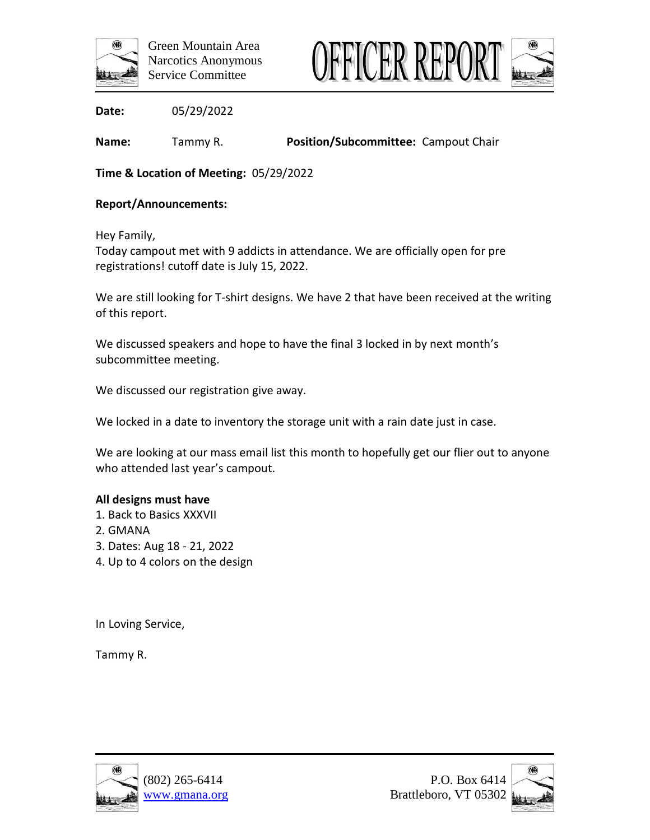



**Name:** Tammy R. **Position/Subcommittee:** Campout Chair

**Time & Location of Meeting:** 05/29/2022

### **Report/Announcements:**

Hey Family,

Today campout met with 9 addicts in attendance. We are officially open for pre registrations! cutoff date is July 15, 2022.

We are still looking for T-shirt designs. We have 2 that have been received at the writing of this report.

We discussed speakers and hope to have the final 3 locked in by next month's subcommittee meeting.

We discussed our registration give away.

We locked in a date to inventory the storage unit with a rain date just in case.

We are looking at our mass email list this month to hopefully get our flier out to anyone who attended last year's campout.

#### **All designs must have**

- 1. Back to Basics XXXVII
- 2. GMANA
- 3. Dates: Aug 18 21, 2022
- 4. Up to 4 colors on the design

In Loving Service,

Tammy R.



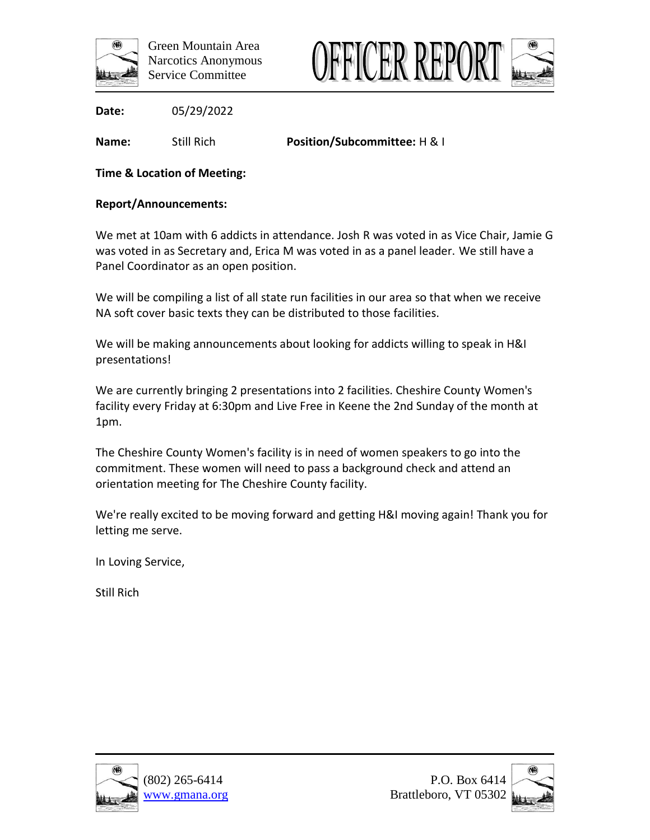



**Name:** Still Rich **Position/Subcommittee:** H & I

# **Time & Location of Meeting:**

## **Report/Announcements:**

We met at 10am with 6 addicts in attendance. Josh R was voted in as Vice Chair, Jamie G was voted in as Secretary and, Erica M was voted in as a panel leader. We still have a Panel Coordinator as an open position.

We will be compiling a list of all state run facilities in our area so that when we receive NA soft cover basic texts they can be distributed to those facilities.

We will be making announcements about looking for addicts willing to speak in H&I presentations!

We are currently bringing 2 presentations into 2 facilities. Cheshire County Women's facility every Friday at 6:30pm and Live Free in Keene the 2nd Sunday of the month at 1pm.

The Cheshire County Women's facility is in need of women speakers to go into the commitment. These women will need to pass a background check and attend an orientation meeting for The Cheshire County facility.

We're really excited to be moving forward and getting H&I moving again! Thank you for letting me serve.

In Loving Service,

Still Rich



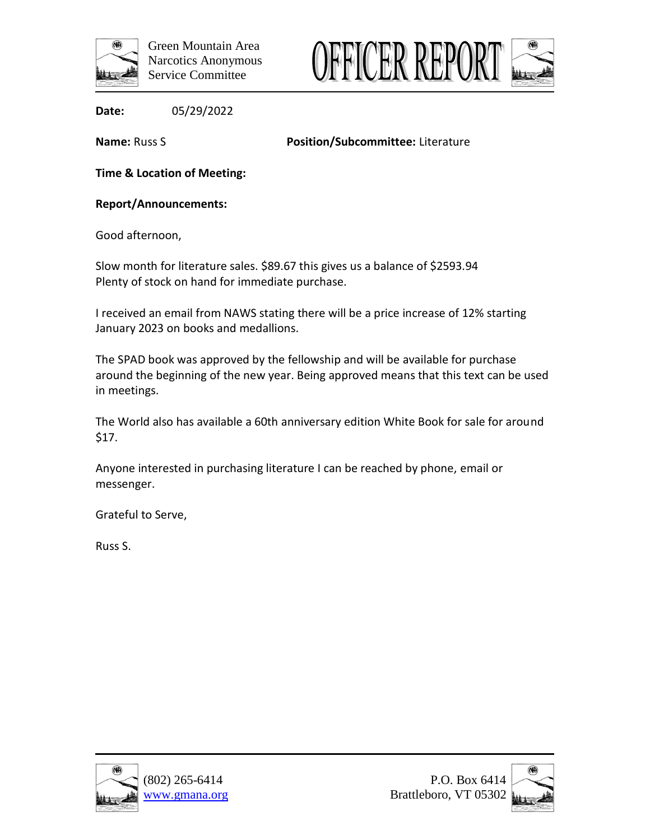



**Name:** Russ S **Position/Subcommittee:** Literature

**Time & Location of Meeting:**

**Report/Announcements:**

Good afternoon,

Slow month for literature sales. \$89.67 this gives us a balance of \$2593.94 Plenty of stock on hand for immediate purchase.

I received an email from NAWS stating there will be a price increase of 12% starting January 2023 on books and medallions.

The SPAD book was approved by the fellowship and will be available for purchase around the beginning of the new year. Being approved means that this text can be used in meetings.

The World also has available a 60th anniversary edition White Book for sale for around \$17.

Anyone interested in purchasing literature I can be reached by phone, email or messenger.

Grateful to Serve,

Russ S.



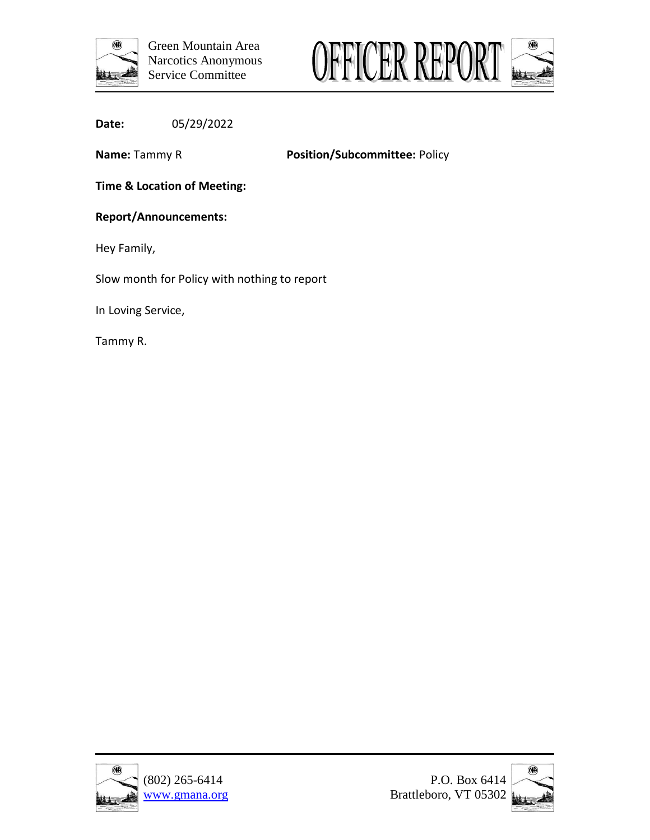



**Name:** Tammy R **Position/Subcommittee:** Policy

**Time & Location of Meeting:**

#### **Report/Announcements:**

Hey Family,

Slow month for Policy with nothing to report

In Loving Service,

Tammy R.



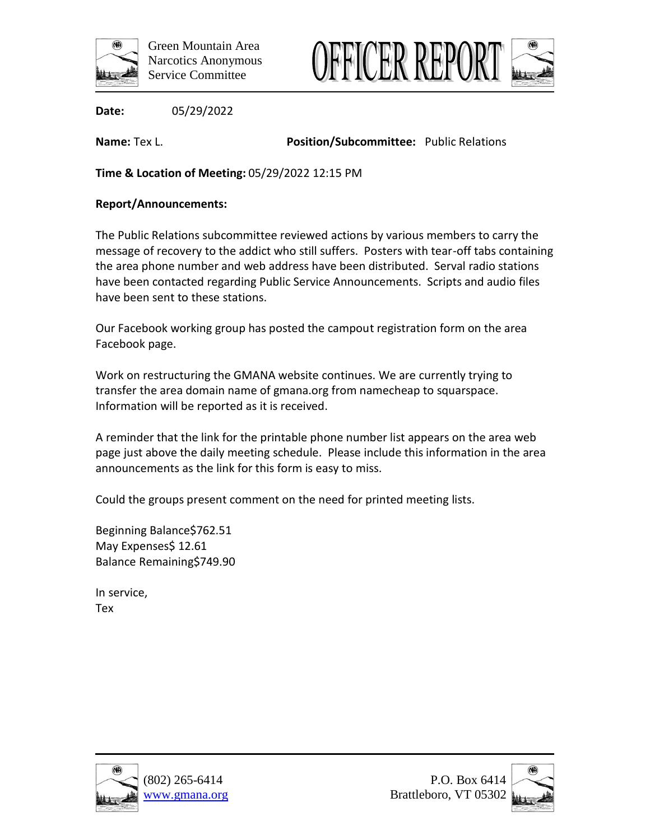



**Name:** Tex L. **Position/Subcommittee:** Public Relations

**Time & Location of Meeting:** 05/29/2022 12:15 PM

## **Report/Announcements:**

The Public Relations subcommittee reviewed actions by various members to carry the message of recovery to the addict who still suffers. Posters with tear-off tabs containing the area phone number and web address have been distributed. Serval radio stations have been contacted regarding Public Service Announcements. Scripts and audio files have been sent to these stations.

Our Facebook working group has posted the campout registration form on the area Facebook page.

Work on restructuring the GMANA website continues. We are currently trying to transfer the area domain name of gmana.org from namecheap to squarspace. Information will be reported as it is received.

A reminder that the link for the printable phone number list appears on the area web page just above the daily meeting schedule. Please include this information in the area announcements as the link for this form is easy to miss.

Could the groups present comment on the need for printed meeting lists.

Beginning Balance\$762.51 May Expenses\$ 12.61 Balance Remaining\$749.90

In service, Tex



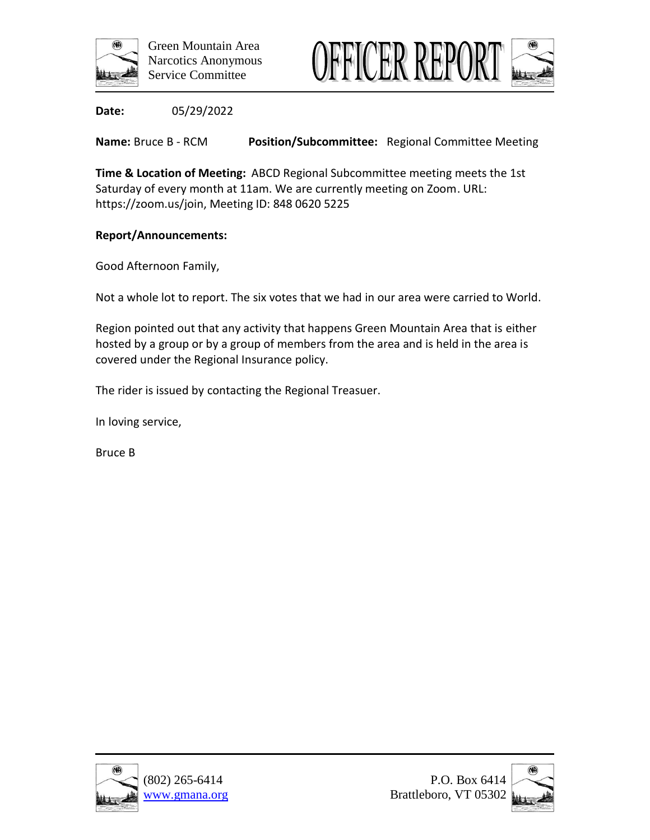



**Name:** Bruce B - RCM **Position/Subcommittee:** Regional Committee Meeting

**Time & Location of Meeting:** ABCD Regional Subcommittee meeting meets the 1st Saturday of every month at 11am. We are currently meeting on Zoom. URL: https://zoom.us/join, Meeting ID: 848 0620 5225

## **Report/Announcements:**

Good Afternoon Family,

Not a whole lot to report. The six votes that we had in our area were carried to World.

Region pointed out that any activity that happens Green Mountain Area that is either hosted by a group or by a group of members from the area and is held in the area is covered under the Regional Insurance policy.

The rider is issued by contacting the Regional Treasuer.

In loving service,

Bruce B



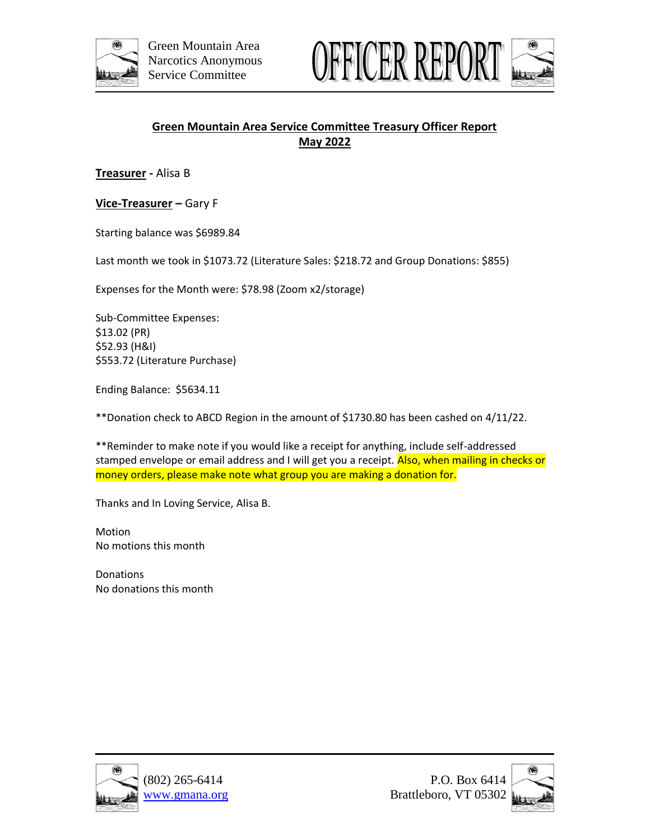



# **Green Mountain Area Service Committee Treasury Officer Report May 2022**

**Treasurer -** Alisa B

**Vice-Treasurer –** Gary F

Starting balance was \$6989.84

Last month we took in \$1073.72 (Literature Sales: \$218.72 and Group Donations: \$855)

Expenses for the Month were: \$78.98 (Zoom x2/storage)

Sub-Committee Expenses: \$13.02 (PR) \$52.93 (H&I) \$553.72 (Literature Purchase)

Ending Balance: \$5634.11

\*\*Donation check to ABCD Region in the amount of \$1730.80 has been cashed on 4/11/22.

\*\*Reminder to make note if you would like a receipt for anything, include self-addressed stamped envelope or email address and I will get you a receipt. Also, when mailing in checks or money orders, please make note what group you are making a donation for.

Thanks and In Loving Service, Alisa B.

Motion No motions this month

**Donations** No donations this month